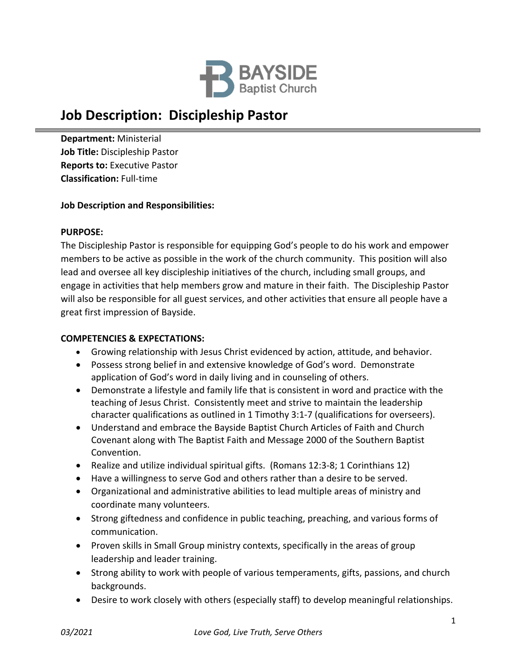

# **Job Description: Discipleship Pastor**

**Department:** Ministerial **Job Title:** Discipleship Pastor **Reports to:** Executive Pastor **Classification:** Full‐time

## **Job Description and Responsibilities:**

#### **PURPOSE:**

The Discipleship Pastor is responsible for equipping God's people to do his work and empower members to be active as possible in the work of the church community. This position will also lead and oversee all key discipleship initiatives of the church, including small groups, and engage in activities that help members grow and mature in their faith. The Discipleship Pastor will also be responsible for all guest services, and other activities that ensure all people have a great first impression of Bayside.

### **COMPETENCIES & EXPECTATIONS:**

- Growing relationship with Jesus Christ evidenced by action, attitude, and behavior.
- Possess strong belief in and extensive knowledge of God's word. Demonstrate application of God's word in daily living and in counseling of others.
- Demonstrate a lifestyle and family life that is consistent in word and practice with the teaching of Jesus Christ. Consistently meet and strive to maintain the leadership character qualifications as outlined in 1 Timothy 3:1‐7 (qualifications for overseers).
- Understand and embrace the Bayside Baptist Church Articles of Faith and Church Covenant along with The Baptist Faith and Message 2000 of the Southern Baptist Convention.
- Realize and utilize individual spiritual gifts. (Romans 12:3-8; 1 Corinthians 12)
- Have a willingness to serve God and others rather than a desire to be served.
- Organizational and administrative abilities to lead multiple areas of ministry and coordinate many volunteers.
- Strong giftedness and confidence in public teaching, preaching, and various forms of communication.
- Proven skills in Small Group ministry contexts, specifically in the areas of group leadership and leader training.
- Strong ability to work with people of various temperaments, gifts, passions, and church backgrounds.
- Desire to work closely with others (especially staff) to develop meaningful relationships.